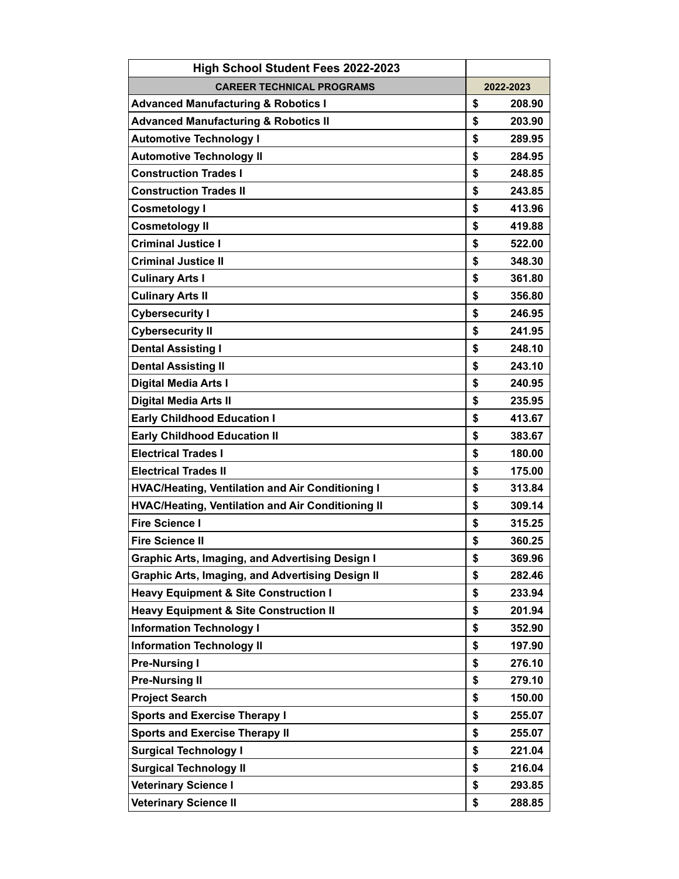| <b>High School Student Fees 2022-2023</b>                |              |
|----------------------------------------------------------|--------------|
| <b>CAREER TECHNICAL PROGRAMS</b>                         | 2022-2023    |
| <b>Advanced Manufacturing &amp; Robotics I</b>           | \$<br>208.90 |
| <b>Advanced Manufacturing &amp; Robotics II</b>          | \$<br>203.90 |
| <b>Automotive Technology I</b>                           | \$<br>289.95 |
| <b>Automotive Technology II</b>                          | \$<br>284.95 |
| <b>Construction Trades I</b>                             | \$<br>248.85 |
| <b>Construction Trades II</b>                            | \$<br>243.85 |
| <b>Cosmetology I</b>                                     | \$<br>413.96 |
| <b>Cosmetology II</b>                                    | \$<br>419.88 |
| <b>Criminal Justice I</b>                                | \$<br>522.00 |
| <b>Criminal Justice II</b>                               | \$<br>348.30 |
| <b>Culinary Arts I</b>                                   | \$<br>361.80 |
| <b>Culinary Arts II</b>                                  | \$<br>356.80 |
| <b>Cybersecurity I</b>                                   | \$<br>246.95 |
| <b>Cybersecurity II</b>                                  | \$<br>241.95 |
| <b>Dental Assisting I</b>                                | \$<br>248.10 |
| <b>Dental Assisting II</b>                               | \$<br>243.10 |
| <b>Digital Media Arts I</b>                              | \$<br>240.95 |
| <b>Digital Media Arts II</b>                             | \$<br>235.95 |
| <b>Early Childhood Education I</b>                       | \$<br>413.67 |
| <b>Early Childhood Education II</b>                      | \$<br>383.67 |
| <b>Electrical Trades I</b>                               | \$<br>180.00 |
| <b>Electrical Trades II</b>                              | \$<br>175.00 |
| <b>HVAC/Heating, Ventilation and Air Conditioning I</b>  | \$<br>313.84 |
| <b>HVAC/Heating, Ventilation and Air Conditioning II</b> | \$<br>309.14 |
| <b>Fire Science I</b>                                    | \$<br>315.25 |
| <b>Fire Science II</b>                                   | \$<br>360.25 |
| Graphic Arts, Imaging, and Advertising Design I          | \$<br>369.96 |
| <b>Graphic Arts, Imaging, and Advertising Design II</b>  | \$<br>282.46 |
| <b>Heavy Equipment &amp; Site Construction I</b>         | \$<br>233.94 |
| <b>Heavy Equipment &amp; Site Construction II</b>        | \$<br>201.94 |
| <b>Information Technology I</b>                          | \$<br>352.90 |
| <b>Information Technology II</b>                         | \$<br>197.90 |
| <b>Pre-Nursing I</b>                                     | \$<br>276.10 |
| <b>Pre-Nursing II</b>                                    | \$<br>279.10 |
| <b>Project Search</b>                                    | \$<br>150.00 |
| <b>Sports and Exercise Therapy I</b>                     | \$<br>255.07 |
| <b>Sports and Exercise Therapy II</b>                    | \$<br>255.07 |
| <b>Surgical Technology I</b>                             | \$<br>221.04 |
| <b>Surgical Technology II</b>                            | \$<br>216.04 |
| <b>Veterinary Science I</b>                              | \$<br>293.85 |
| <b>Veterinary Science II</b>                             | \$<br>288.85 |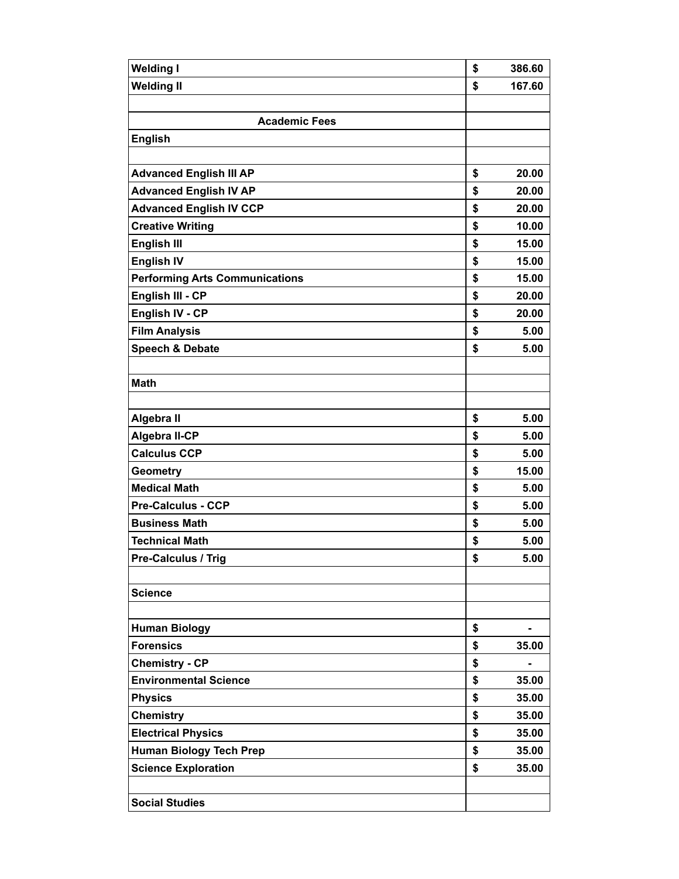| <b>Welding I</b>                      | \$<br>386.60 |
|---------------------------------------|--------------|
| <b>Welding II</b>                     | \$<br>167.60 |
|                                       |              |
| <b>Academic Fees</b>                  |              |
| <b>English</b>                        |              |
|                                       |              |
| <b>Advanced English III AP</b>        | \$<br>20.00  |
| <b>Advanced English IV AP</b>         | \$<br>20.00  |
| <b>Advanced English IV CCP</b>        | \$<br>20.00  |
| <b>Creative Writing</b>               | \$<br>10.00  |
| <b>English III</b>                    | \$<br>15.00  |
| <b>English IV</b>                     | \$<br>15.00  |
| <b>Performing Arts Communications</b> | \$<br>15.00  |
| English III - CP                      | \$<br>20.00  |
| English IV - CP                       | \$<br>20.00  |
| <b>Film Analysis</b>                  | \$<br>5.00   |
| Speech & Debate                       | \$<br>5.00   |
|                                       |              |
| <b>Math</b>                           |              |
|                                       |              |
| Algebra II                            | \$<br>5.00   |
| <b>Algebra II-CP</b>                  | \$<br>5.00   |
| <b>Calculus CCP</b>                   | \$<br>5.00   |
| <b>Geometry</b>                       | \$<br>15.00  |
| <b>Medical Math</b>                   | \$<br>5.00   |
| <b>Pre-Calculus - CCP</b>             | \$<br>5.00   |
| <b>Business Math</b>                  | \$<br>5.00   |
| <b>Technical Math</b>                 | \$<br>5.00   |
| Pre-Calculus / Trig                   | \$<br>5.00   |
|                                       |              |
| <b>Science</b>                        |              |
|                                       |              |
| <b>Human Biology</b>                  | \$           |
| <b>Forensics</b>                      | \$<br>35.00  |
| <b>Chemistry - CP</b>                 | \$           |
| <b>Environmental Science</b>          | \$<br>35.00  |
| <b>Physics</b>                        | \$<br>35.00  |
| <b>Chemistry</b>                      | \$<br>35.00  |
| <b>Electrical Physics</b>             | \$<br>35.00  |
| <b>Human Biology Tech Prep</b>        | \$<br>35.00  |
| <b>Science Exploration</b>            | \$<br>35.00  |
|                                       |              |
| <b>Social Studies</b>                 |              |